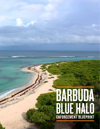# BARBUDA<br>BLUETALO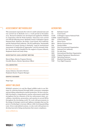### <sup>2</sup> ASSESSMENT METHODOLOGY

This assessment represents the work of a multi-national team and was carried out in Barbuda over a 1-week period in November 2014. Research methods were developed and applied by WildAid in cooperation with the Waitt Institute. Interviews were carried out with the following actors: Barbuda Council, Codrington Lagoon National Park, Fisheries, the Police, Coast Guard, Port Authority and the National Park Authority. The ELI publication "Sustainable Fisheries & Coastal Zoning in Barbuda: Legal & Institutional Assessment of Authorities & Approaches" proved extremely helpful. We are especially thankful for the support of Ayana Johnson, Stephanie Roach and Andy Estep.

### INVESTIGATIVE LEAD & REPORT WRITING

Marcel Bigue, Marine Program Director Oswaldo Rosero, Marine Operations Officer

### COLLABORATORS

*The Waitt Institute* Ayana Johnson, Executive Director Stephanie Roach, Program Manager

### GRAPHIC DESIGNER

Hugo Ugaz

### ABOUT WILDAID

WildAid's mission is to end the illegal wildlife trade in our lifetimes by reducing demand through public awareness campaigns and providing comprehensive marine protection. We have successfully developed a comprehensive marine enforcement model that strengthens the key elements of the law enforcement chain: surveillance, interdiction, prosecution, and sanction in several MPAs throughout the developing world. We work with governments in the design of strategic control and vigilance strategies that use the power of technology to increase efficacy while lowering patrolling costs. Given weak judicial systems, we also work with partners to develop innovative fining mechanisms that ensure compliance.

*www.wildaid.org*

### ACRONYMS

| BC           | Barbuda Council                            |
|--------------|--------------------------------------------|
| CG           | Coast Guard                                |
| <b>CLNP</b>  | Codrington Lagoon National Park            |
| <b>CAPEX</b> | Capital Expenses                           |
| C&V          | Control and Vigilance                      |
| <b>HP</b>    | Horse Power                                |
| <b>MPA</b>   | Marine Protected Area                      |
| NM           | Nautical Miles                             |
| NGO          | Non Governmental Organization              |
| <b>NPA</b>   | National Port Authority                    |
| NTZ          | No-take Zone                               |
| <b>IMO</b>   | <b>International Maritime Organization</b> |
| OEM          | Original Equipment Manufacturer            |
| <b>OPEX</b>  | <b>Operating Expenses</b>                  |
| SOP          | <b>Standard Operating Protocols</b>        |
| VHF          | Very High Frequency                        |



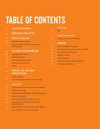# TABLE OF CONTENTS

| 04              | <b>EXECUTIVE SUMMARY</b>                                                       |
|-----------------|--------------------------------------------------------------------------------|
| 06              | <b>ASSESSMENT OBJECTIVE</b>                                                    |
| $\overline{0}6$ | <b>CONTEXT ANALYSIS</b>                                                        |
| 06              | Barbuda Blue Halo Initiative                                                   |
| 07              | <b>Summary of Relevant Enforcement Actors &amp;</b><br><b>Current Capacity</b> |
| 08              | <b>RELEVANT SITE INFORMATION</b>                                               |
| 08              | <b>Geographical Description</b>                                                |
| 08              | <b>Coastal Zonification</b>                                                    |
| 08              | <b>Fishing Sector Characteristics</b>                                          |
| 08              | Infrastructure and Services                                                    |
| 09              | <b>Threats</b>                                                                 |
| 10              | <b>CONTROL AND VIGILANCE</b><br><b>SYSTEM DESIGN</b>                           |
| 10              | <b>Preface to Design</b>                                                       |
| 10              | <b>Control and Vigilance System Design Summary</b>                             |
|                 |                                                                                |

- SURVEILLANCE
- Vigilance Post Location and Surveillance Coverage
- Vessels and Moorings
- Staffing & Training &Vigilance and Safety Equipment
- Outreach & Education
- Visual Detection System for Barbuda Vessels
- Control Center at Fisheries and VHF Radio Network Upgrade
- Considerations for Fisheries Enforcement Strategy
- Inter-institutional Agreements and SOPs

| 17 | <b>INTERDICTION</b>                                |
|----|----------------------------------------------------|
| 17 | <b>SOPs</b>                                        |
|    |                                                    |
| 18 | <b>PROSECUTION &amp; SANCTION</b>                  |
| 18 | Database with Violator Information                 |
|    |                                                    |
| 20 | <b>ANNEXES</b>                                     |
| 20 | Cash Flow Summary by Agency                        |
| 22 | Surveillance System Capital Expenses (CAPEX)       |
| 24 | <b>Itemized Cash Flow by Agency</b>                |
| 26 | <b>Staffing &amp; Training</b>                     |
| 27 | <b>Fuel Consumption</b>                            |
| 28 | <b>Critical Spare Parts &amp; Safety Equipment</b> |
| 30 | <b>VHF Radio Specifications</b>                    |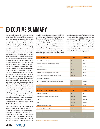# EXECUTIVE SUMMARY

4

The Barbuda Blue Halo Initiative (BBHI) aims to develop sustainable ocean policy and local management capacity for the enforcement of fishery regulations within the Codrington Lagoon National Park (CLNP) and throughout Barbuda's near shore jurisdictional waters (3NM). The BBHI represents a collaborative effort among the Barbuda Council, the Government of Antigua & Barbuda, and the Waitt Institute. Already, the BBHI has made considerable progress in the design of a management system that builds on the existing legal framework and that is grounded in community consultations. Key ecological assessments, habitat mapping and legal analysis have enabled the drafting and approval of new regulations supporting a comprehensive coastal zoning system. The BBHI has also mapped out the national legal framework and created a strong foundation for an effective regulatory system, and is working to raise the dollar value of fines, and establish a special fund for revenue generation and the compounding of infractions: all critical elements for success. Barbuda waters include important habitats of coral reef systems, sea grass, mangroves, nesting beaches; and offer spawning and aggregation sites for a number of fish species and breeding areas for seabirds among other species. Given the decline in fisheries, the Barbuda Council desires to establish a marine law enforcement program to reverse trends and protect its near shore territorial waters (3NM).

We are confident that the enforcement program designed for Barbuda is practical, affordable and feasible to implement over a three-year timeframe. While it is the responsibility of each agency to implement activities according to their respective timelines, it would behoove them to develop their programs in tandem given their

similar stage in development and the synergies afforded through cooperation. As illustrated in Figure 01, the final enforcement system design provides strategic coverage of key fishing areas, sanctuaries and access ways. The strategy combines the use of vigilance posts, a robust VHF marine radio network with the strategic placement of buoys, and patrol vessels to provide a constant presence and fast response

capacity throughout Barbuda's near shore waters. All capital expenses (CAPEX) and operating expenses (OPEX) decisions were made in consideration of a highly limited budget. More importantly, we have defined a blueprint of critical steps for the capacity building and professionalization of the officers, who truly are the core component of the Barbuda enforcement program.

| <b>CAPITAL EXPENSES (US\$)</b>                        | <b>CLNP</b>        | <b>FISHERIES</b> |
|-------------------------------------------------------|--------------------|------------------|
| Outlook Posts & Shelters/Offices                      | \$0                | \$41,000         |
| Electrical Works, Protection, Emergency Supply        | \$0                | \$7,700          |
| Civil Works                                           | \$0                | \$2,000          |
| Telecommunications                                    | \$4,770            | \$5,890          |
| Maritime Surveillance Display & Control System        | \$3,000            | \$3,000          |
| Mooring Buoy System (for boats of up to 45 ft length) | \$13,350           | \$28,950         |
| <b>BOATS &amp; ACCESSORIES</b>                        |                    |                  |
| 28" Fiber Glass boat w/Canopy and command panel/seat  | \$0                | \$24,500         |
| Accessories                                           | \$700              | \$29,300         |
| <b>SUBTOTAL</b>                                       | \$21,820           | \$142,340        |
| ANNUAL OPERATING EXPENSES (US\$)                      | <b>CLNP</b>        | <b>FISHERIES</b> |
| Maintenance and Repair                                | \$0                | \$0              |
| Expendables for Boats (spare parts for motors)        | \$12,758           | \$18,167         |
| Staffing                                              | \$119,500          | \$213,500        |
| Fuel                                                  | \$17,529           | \$32,866         |
| Utilities (electricity, telephone)                    | \$1,000<br>\$2,000 |                  |
| Stationary, copies, office supplies                   | \$1,000<br>\$500   |                  |
| Insurance (1.5% assets value)                         | \$607              | \$4,222          |
| <b>SUBTOTAL</b>                                       | \$151,894          | \$271,756        |
| <b>TOTAL</b>                                          | \$173,714          | \$414,096        |

*Table No. 01. Summary Enforcement Budget*



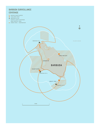### BARBUDA SURVEILLANCE **COVERAGE**

- MARINE SANCTUARIES
- VIGILANCE POST
- $\bullet$  MOORING SITES
- SURVEILLANCE COVERAGE
- 3NM COASTAL ZONE
- O URBAN AREA CODRINGTON

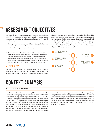# ASSESSMENT OBJECTIVES

The main objective of this assessment is to design a cost effective control and vigilance system for Barbuda, placing special emphasis on protecting no-take zones and fisheries. The specific objectives are:

- 1. Develop a practical control and vigilance strategy for Barbuda based on interviews of local enforcement actors, fishers, the analysis of existing management strategies and a comprehensive site visit.
- 2. Prioritize a series of recommendations to optimize patrol strategies/costs as well as increase detection and interdiction efficacy. The final report will include a surveillance system design including potential technologies, vigilance post locations, vessels, human resource requirements, and overall cost estimate (initial CAPEX and OPEX over a five year period.)

### **METHODOLOGY**

WildAid focuses on the law enforcement chain, that encompasses the activities of detection, interdiction, prosecution and the fining of lawbreakers. An effective law enforcement system should

# CONTEXT ANALYSIS

### BARBUDA BLUE HALO INITIATIVE

The Barbuda Blue Halo Initiative (BBHI) aims to develop sustainable ocean policy and local management capacity for the enforcement of key fishery regulations within the Codrington Lagoon and throughout Barbuda's near shore jurisdictional waters (3NM). The BBHI represents a collaborative effort among the Barbuda Council, the Government of Antigua & Barbuda, and the Waitt Institute. Already, the BBHI has made considerable progress in the design of a management system that builds on the existing legal framework and that is grounded in community consultations. Key ecological assessments, habitat mapping and legal analysis has enabled the drafting and approval of new regulations supporting a comprehensive coastal zoning system. The BBHI has also mapped out the national legal framework and created a strong foundation for an effective regulatory system, and is working to raise the dollar value of fines, and establish a special fund for revenue generation and the compounding of infractions: all critical elements for success.

dissuade potential lawbreakers from committing illegal activities as the consequences/risks associated with apprehension outweigh economic gain. The law enforcement chain requires that each link function in an effective manner and no one link is more important than the other. Also critical, yet not part of the enforcement chain, is the vital role, that outreach and the education of stakeholders plays in MPA acceptance and compliance.





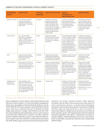### SUMMARY OF RELEVANT ENFORCEMENT ACTORS & CURRENT CAPACITY

| <b>GOVERNMENT</b><br><b>AGENCY</b>                     | <b>COMPETENCY</b>                                                                                                                                                                                                                                                                                                                                                                                                                                                                           | <b>PHYSICAL</b><br><b>PRESENCE</b>                                                                                                                                                                                                                                                                                                                                                                                                                                                                                                                          | <b>SCOPE OF ACTIVITIES</b>                                                                                                                                                                                                                                                                                                | <b>BUDGET,</b><br><b>PERSONNEL &amp;</b><br><b>INFRASTRUCTURE</b>                                                                                                                                                                                                                                                                                     | <b>OBSERVATIONS</b>                                                                                                                                                                                                                                                                                                                                                                 |
|--------------------------------------------------------|---------------------------------------------------------------------------------------------------------------------------------------------------------------------------------------------------------------------------------------------------------------------------------------------------------------------------------------------------------------------------------------------------------------------------------------------------------------------------------------------|-------------------------------------------------------------------------------------------------------------------------------------------------------------------------------------------------------------------------------------------------------------------------------------------------------------------------------------------------------------------------------------------------------------------------------------------------------------------------------------------------------------------------------------------------------------|---------------------------------------------------------------------------------------------------------------------------------------------------------------------------------------------------------------------------------------------------------------------------------------------------------------------------|-------------------------------------------------------------------------------------------------------------------------------------------------------------------------------------------------------------------------------------------------------------------------------------------------------------------------------------------------------|-------------------------------------------------------------------------------------------------------------------------------------------------------------------------------------------------------------------------------------------------------------------------------------------------------------------------------------------------------------------------------------|
| Barbuda Council (BC)                                   | Codrington<br>Administers and regulates<br>Local authority that manages<br>agriculture, fisheries, public<br>day-to-day internal affairs<br>of Barbuda in conformity with<br>health, public utilities and<br>Cabinet directives. Jurisdiction:<br>roads. Also raises and collects<br>revenue. The Fisheries Act of<br>Shore to 3NM.<br>2006 provides for management<br>by local authorities. In addition,<br>the National Parks Authority<br>delegates management of the<br>CLNP to the BC. |                                                                                                                                                                                                                                                                                                                                                                                                                                                                                                                                                             | 11 member council: (National<br>House of Representatives,<br>national senator from Barbuda<br>and 9 elected members) /<br>70-90% of Island residents<br>employed via the BC.                                                                                                                                              | The Barbuda Council should<br>retain an employee/staff to<br>follow up on Council meeting<br>action items. In addition, the<br>BC should appoint a champion<br>for the cause to work both<br>locally and with Antigua<br>authorities.                                                                                                                 |                                                                                                                                                                                                                                                                                                                                                                                     |
| Coast Guard (CG)                                       | Anti - Narcotics/ Fishery<br>Enforcement / Immigration &<br>Customs / Deep Sea Search<br>and Rescue/ Officers bear firearms<br>and possess power of arrest.<br>Jurisdiction: Entire EEZ; shore to<br>200 NM.                                                                                                                                                                                                                                                                                | Antigua<br>Daily patrols and multi<br>No fixed annual budget (depend<br>objective missions that include<br>on Dept. of Defense)/ 62 officers<br>drug enforcement, maritime<br>/ 24 hour operating capacity /<br>law enforcement, immigration,<br>Two 35 ft. Safeboats with twin<br>and fisheries.<br>300HP /2 additional 33 ft.<br>vessels are being acquired /<br>private VHF marine network /<br>no coastal radar equipment / no<br>formal training program nor<br><b>Standard Operating Procedures</b><br>(SOPs). There is no CG presence<br>in Barbuda. |                                                                                                                                                                                                                                                                                                                           | Coastguard currently limits<br>operations to 12NM given type<br>of vessels. Patrol priorities are<br>for anti-narcotics to the South.<br>There is interest to collaborate<br>with Fisheries and a historical<br>average of 15 fishing violations<br>per year. Lack of consolidated<br>vessel registry limits CG ability<br>for vessel identification. |                                                                                                                                                                                                                                                                                                                                                                                     |
| Police                                                 | Enforce law, protect property<br>and limit civil disorder. Officers<br>bear firearms and possess<br>power of arrest.                                                                                                                                                                                                                                                                                                                                                                        | Codrington                                                                                                                                                                                                                                                                                                                                                                                                                                                                                                                                                  | Daily patrols and occasional<br>collaboration with Fisheries &<br>the Codrington Lagoon National<br>Park Authority for interdictions.                                                                                                                                                                                     | 19 officers / 1 vehicle /no vessels<br>/ private VHF radio network.                                                                                                                                                                                                                                                                                   | The Police force is staffed<br>with nationals as well<br>as 7 Dominicans. There is<br>sufficient staff.                                                                                                                                                                                                                                                                             |
| <b>Fisheries Authority</b>                             | Enforce fishery laws. Officers do<br>not bear firearms nor have power<br>of arrest. Jurisdiction: Shore to<br>3NM for Barbuda regulations and<br>entire EEZ for national laws.                                                                                                                                                                                                                                                                                                              | Codrington                                                                                                                                                                                                                                                                                                                                                                                                                                                                                                                                                  | Fisheries monitoring, fisher and<br>fishing vessel registry, provision<br>of compressed air and ice to<br>fishers. Revenue generation<br>from fisheries and services:<br>$$.40/lb.$ for conch / $$.75$ for<br>lobster / \$10 per 50 lbs. of ice &<br>\$7/tank. Vessel registration: 25<br>vessels x \$400-\$500 per year. | EC\$1M Budget / Excellent<br>facilities / 10 Fishery officers, 5<br>clerks, Department Head,<br>Senior Fisheries Officer, 7<br>cleaners, 8 security and 4 sea<br>wardens. No patrol vessel /VHF<br>marine network / No uniforms /<br>No formal induction course<br>nor SOPs.                                                                          | Fishery patrols according<br>to office hours (8:30AM -<br>4:30PM), however, majority<br>of fishing takes place at dusk/<br>dawn. Fishery data collected<br>not processed for management<br>purposes. Sufficient staff,<br>however, organization<br>reengineering required. Very<br>limited number of registered<br>infractions. No visible boat<br>registration license on vessels. |
| Codrington Lagoon<br>National Park<br>Authority (CLNP) | Fish and wildlife resources<br>enforcement. Officers do not bear<br>firearms nor possess power of<br>arrest. Jurisdiction: Within the<br>CLNP, which encompasses 3,600<br>HA. of wetlands and other areas,<br>and can support Fisheries staff in<br>areas outside CLNP.                                                                                                                                                                                                                     | Codrington                                                                                                                                                                                                                                                                                                                                                                                                                                                                                                                                                  | 1 patrol per week                                                                                                                                                                                                                                                                                                         | No budget / 4 staff / New office /<br>1 Toyota pickup / 25 foot patrol<br>vessel with two 40HP Yamaha<br>2-strokes / Fuel: 50 gallon per<br>week / Personal cellular phones<br>are used for communication / 2<br>VHF marine base radio not<br>installed & 3 binoculars / No<br>uniforms / No formal induction<br>course nor SOPs.                     | Park assets are in good<br>condition, however, few staff<br>and operating budget limits<br>coverage and enforcement.<br>Infractions by year: 2014 (0) /<br>2013(1)/2012(1)                                                                                                                                                                                                          |

*Table No. 02. Summary of Relevant Enforcement Actors and Current Capacity*

Upon completion of a brief analysis of the legal framework and interviews with key officers, it is clear that fisheries management will be the responsibility of both the Barbuda Fisheries and the CLNP. While the CG has the mandate to patrol Barbuda territorial waters, they have no physical presence in Barbuda and their budget limits patrols to Antigua. Both Fisheries and the CLNP have clear jurisdictions and competencies, however, given resource constraints, their effectiveness is limited. Currently, Fisheries possesses sufficient staff, but no patrol vessel while the CLNP possesses a patrol vessel, but is limited to weekly patrols and only has four staff. Neither agency possesses formal operating protocols,

uniforms nor formal training modules. Both agencies coordinate with the Police when necessary given their power of arrest and firearms; however, no formal inter-institutional agreements exist among the three agencies. Currently, most illegal activities either go undetected due to lack of presence of enforcement officers or simply because local laws are not enforced by the respective agency. The implementation of the new fisheries and park regulations will require a substantial investment in capacity building, institutionalization of processes, inter-institutional coordination, outreach and education and a fundamental cultural change.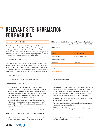# RELEVANT SITE INFORMATION FOR BARBUDA

### **BARBUDA LOCATION & SIZE**

Barbuda is located 23 NM north of Antigua and to the south are the islands of Montserrat and Guadeloupe at 29NM & 57NM, respectively. 59 NM to the west and northwest are Nevis, St. Kitts, St. Barts, and St. Martin. The total land area is 160.56 km², possesses little topographical variation and the highest point is 38 meters above sea level. The total marine area is 428 km².

### KEY MANAGEMENT AUTHORITY

The Barbuda Local Government Act, in harmony with the Fisheries Act of 2006 and the Shooting and Fishing By-Law of 1959, designates the Barbuda Council as the local fisheries management authority for near shore waters (3NM). While ultimately the BC is responsible for the implementation of the management plan, both

### LICENSED ACTIVITIES

• Local commercial fishing & vessel registration • Education and Research

### FISHER CHARACTERISTICS

- Most fishing is for local consumption, although there is a growing export of lobster and conch to Antigua as well as to Guadeloupe. Historically, local fishers targeted lobster, conch and roughly 20% target whitefish, however; recently two Barbuda exporters are driving fishing pressures to unsustainable levels. Limited catch data.
- 60 Barbuda fishers: 30-40 full-time and 20 recreational/ subsistence fishers distributed over 30 vessels of 20-30 ft. length with 40-100HP outboard motors. Roughly 10 fishers are recurring violators.
- 12 Antiguan vessels regularly fish in Barbuda: five 35-45 ft.

### COMMUNITY, ISLAND INFRASTRUCTURE AND EQUIPMENT:

• 1,800 residents. The Barbuda Council employs 90% of the Island, hence fishing is not a primary source of income.

Fisheries and the CLNP are responsible for the daily administration, enforcement, planning, and reporting on behalf of the BC.

### **ZONIFICATION**

| <b>ZONES</b>              | <b>USE CATEGORY</b>               |
|---------------------------|-----------------------------------|
| Marine Sanctuaries        | Permanently Closed to Fishing     |
| Anchoring / Mooring Zones |                                   |
| No Net Zones              | No use of nets                    |
| No-Net Reef Buffer        |                                   |
| Shipping                  | No fishing, swimming or anchoring |
|                           |                                   |

*Table No. 03. Zonification*

vessels with 100HP outboard motors with up to five divers per vessel. Antiguans use camps at the Northern and Southern areas of the Island and target parrotfish using up to 1,000 ft. gillnets. They also target lobster, conch and snapper. Some Antiguans receive ice and compressed air from locals.

- 2 vessels from Guadeloupe with 250-300HP outboard motors also encroach upon Barbuda.
- Target species: Parrotfish, Queen conch, lobster, snapper, sea turtles, grouper, among others.
- Fishing gear: Hand lines, spear guns, pots, rod and reel, harpoons and reef fishing with nets.
- Logistics: A cargo vessel services Island two days a week: Wednesday and Friday.



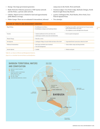- Energy: One large government generator.
- Radio Network: Fisheries possesses a VHF marine network and the Police, a private radio network.
- Cellular: Digicel service is limited to land and approximately 5NM offshore coverage.
- Fisher Camps: There are an estimated 6 intermittent, informal

camp areas in the North, West and South.

• Tourism Lodges: Coco Point Lodge, Barbuda Cottages, North Beach & Light House Bay Resort.

 $\Omega$ 

- 5 ports: Codrington Pier, Pearl Harbor, River Dock, Coco Point & Spanish Point.
- Two airstrips.

| Illegal Fishing          | • Overfishing by local fishers<br>• Overfishing by Antiguan and Guadeloupe fishers                    | • Targeting of parrotfish, undersized and out of season marine<br>species (chicken lobster and conch)<br>• Use of gillnets on reefs with high levels of bycatch |
|--------------------------|-------------------------------------------------------------------------------------------------------|-----------------------------------------------------------------------------------------------------------------------------------------------------------------|
| Tourism:                 | Limited zonification for dive and visitor sites<br>Anchoring in sensitive areas and coral destruction | • No site capacity management                                                                                                                                   |
| Climate Change:          | Shoreline erosion                                                                                     |                                                                                                                                                                 |
| Development:             | Codrington Village is located within the limits of the CLNP                                           | • Unpermitted hotel construction within the CLNP                                                                                                                |
| Pollution/Contamination: | • Lack of grey and black water treatment<br>Poor fuel management                                      | • Trash at fisher camps and along shoreline                                                                                                                     |
| <b>Invasive Species</b>  | • Lionfish                                                                                            | • Donkeys and goats                                                                                                                                             |

*Table No. 04. Nature of Threats and Management Concerns*

*Figure No. 02. Barbuda Territorial Waters and Zonification*

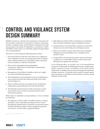## **<sup>1</sup> CONTROL AND VIGILANCE SYSTEM** DESIGN SUMMARY

WildAid carried out a physical site inspection to determine the best possible combination of potential surveillance technology, location of vigilance posts and interdiction equipment given site characteristics, the profile of stakeholders, use patterns, CAPEX and OPEX. In this section, we will briefly explain the logic behind our recommendations.

First off, it is worth noting the following positive factors:

- 1. Given the relatively small size of the marine area (3NM) and clear zonification of areas, the strategic placement of vigilance posts combined with the use of binoculars and/or telescopes can be extremely cost effective in detection.
- 2. There are few geographical and topographical complexities, which allows for fluid radio communication and visual surveillance.
- 3. Management of local fishers is feasible as there are roughly 30 vessels and limited passageways.
- 4. The identification of external fishers is not too complicated as most vessels travel from the South and South-West as illustrated in Figure 03.
- 5. There is political will and a precedent of inter-institutional collaboration among Fisheries, the CLNP and the Police.
- 6. The Barbuda Council possesses relative autonomy to create and amend by-laws as well as to fund personnel for both enforcement agencies.

With respect to immediate recommendations, we have outlined the following:

1. The high price of fuel at US\$6+ per gallon requires a strategy that limits "active" patrolling and requires the use of more fuel-efficient outboard motors. Naturally, less powerful motors will limit interdiction ability of better-equipped foreign fishers, however, we must strike a pragmatic balance.

*Image No. 01. Local Barbuda Fisher*

- 2. Both Fisheries and the CLNP are relatively new institutions that will require significant capacity building investment.
- 3. Community buy-in and local fisher compliance is critical for biomass recovery and to help prevent foreign incursion.
- 4. There are currently too many docks (five) and recommend limiting local catch unloading to two: Codrington Dock and River Dock.
- 5. Foreign fishers are exerting the greatest amount of pressure on fisheries, are well funded, and have made inroads with Barbudans for supplies and assistance.

In the following table, we provide a list of recommendations by agency. We first begin by outlining the necessary capital expenditures required to ensure surveillance of the Island and its implications on staffing, human resource development and finally, strategic operations. In principle there should be mutual support and cooperation in surveillance and interdiction activities among Fisheries and the CLNP.





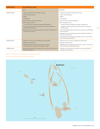| <b>COMPONENT</b><br><b>RECOMMENDATIONS</b> |                                                                                                                           |                                                                                                                             |
|--------------------------------------------|---------------------------------------------------------------------------------------------------------------------------|-----------------------------------------------------------------------------------------------------------------------------|
|                                            | <b>CLNP</b>                                                                                                               | <b>FISHERIES</b>                                                                                                            |
| <b>SURVEILLANCE</b>                        | 1. Vigilance Post Selection & Surveillance Coverage                                                                       | 1. Vigilance Post Selection & Surveillance Coverage                                                                         |
|                                            | 2. Vessels and Mooring Buoys                                                                                              | 2. Vessels and Mooring Buoys                                                                                                |
|                                            | 3. Staffing                                                                                                               | 3. Staffing                                                                                                                 |
|                                            | 4. Training/SOPs                                                                                                          | 4. Training/SOPs                                                                                                            |
|                                            | 5. Basic Surveillance and Safety Equipment                                                                                | 5. Basic Surveillance and Safety Equipment                                                                                  |
|                                            | 6. Rules, Regulations & Fees:                                                                                             | 6. Rules, Regulations & Fees:                                                                                               |
|                                            | • Develop Outreach and Education Campaign to Stakeholders                                                                 | • Develop Outreach and Education Campaign to Stakeholders                                                                   |
|                                            | 7. One (1) fully equipped shared control center at Fisheries and upgrade of<br>Marine VHF Radio Network                   | • Implement a Simple Registration and Visual Detection Program for<br>Barbuda Vessels                                       |
|                                            | 8. Development of inter-institutional agreement and SOPs with Fisheries and<br>Police for joint operations.               | 7. One (1) Fully Equipped Shared Control Center at Fisheries and VHF Radio<br>Network Upgrade                               |
|                                            |                                                                                                                           | 8. Development of inter-institutional agreement and SOPs with CLNP and<br>Police for joint operations.                      |
|                                            |                                                                                                                           | 9. Development of inter-institutional agreement with CG to carry out joint<br>patrols, training and interdiction.           |
| <b>INTERDICTION</b>                        | 1. Elaboration of control center, patrolling and boarding SOPs.                                                           | 1. Elaboration of control center, patrolling and boarding SOPs.                                                             |
|                                            | 2. Establish reporting formats.                                                                                           | 2. Establish reporting formats.                                                                                             |
|                                            | 3. Establishment of a critical spare parts inventory, a series of<br>2-stroke maintenance workshops and Maintenance SOPs. | 3. Establishment of a critical spare parts inventory, a series of 4-stroke main-<br>tenance workshops and Maintenance SOPs. |
| PROSECUTION                                | 1. Establish a practical database that allows for case monitoring and the record-<br>ing of repeat offenders.             | 1. Establish a practical database that allows for case monitoring and the<br>recording of repeat offenders.                 |

### *Table No. 05. Barbuda Control and Vigilance System Design Summary*

*Figure No. 03. Pathways of External Threats to Barbuda*



 $\overline{11}$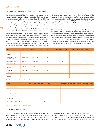### VIGILANCE POST LOCATION AND SURVEILLANCE COVERAGE

The first step in establishing the Barbuda enforcement system requires selecting strategic vigilance posts where both surveillance coverage is guaranteed as well as the timely interdiction of fishers. As we illustrate in Figure 04, we propose the erection of at least two vigilance posts and the installation of three buoys for the mooring of the patrol vessels. The proposed vigilance posts and surveillance equipment provide coverage of Barbuda's near shore waters with a high degree of overlap, which allows surveillance of critical zones with more than one post/sensor at a time.

We highly recommend the placement of a vigilance post at Coco point given its coverage of the southern sanctuary and key access way from Antigua & Guadeloupe. A simple wooden structure will suffice that measures 5 meters in height with a 3x3 meter square platform. In order to prevent theft or vandalism, we do not recommend equipping the structure, however, a small portable battery system with hand rank may be useful to run any portable electronics and perhaps jump start a dead boat battery. The structure should be permanently staffed with at least one officer with handheld radio, portable telescope (20X optical zoom) and perhaps a night vision device (NVD) if budget permits. The officer at the vigilance post will have 6NM visual coverage of the surroundings and can coordinate with a patrol vessel moored outside the southern reef.

We recommend erecting a second vigilance post at Palmeto given its coverage of the western sanctuary and key access ways. In the event of detection, the officer can coordinate with either the patrol vessel moored at either Palmeto or near Coco point. The structure and equipment should be similar to that of the Coco point vigilance post. A third vigilance post may be necessary for the eastern side of the Island, however, this should only be considered if there is a change in approach patterns and evaluated at a later date.

| <b>SITE</b>                            | <b>LAT</b>              | LONG                    | <b>TARGET HEIGHT</b> | SITE HEIGHT (M) | <b>OBSERVER/TOWER HEIGHT(M)</b> |
|----------------------------------------|-------------------------|-------------------------|----------------------|-----------------|---------------------------------|
| Mooring Buoy No. 1<br>(North)          | $17^{\circ}43'21.26''N$ | $61^{\circ}51'50.27''W$ | $\mathbf{1}$         | 1.5             | $\mathbf 0$                     |
| Mooring Buoy No. 2<br>(South-Coco Pt.) | $17^{\circ}31'25.28''N$ | 61°46′54.55"W           | $\mathbf{1}$         | 1.5             | $\mathbf{O}$                    |
| Mooring Buoy No. 3<br>(South-Palmetto) | $17^{\circ}35'25.00''N$ | $61^{\circ}51'51.00''W$ | $\mathbf{1}$         | 1.5             | $\mathbf 0$                     |
| Palmetto Point<br>(Vigilance Post)     | $17^{\circ}35'0.70''N$  | 61°51'35.60"W           |                      | 3               | 5                               |
| Coco Point<br>(Vigilance Post)         | 17°32'37.90"N           | 61°45'59.45"W           |                      | 3               | $\,$ 5 $\,$                     |
| Darby Sink Cove<br>(Vigilance Post)    | $17^{\circ}40'1.09''N$  | 61°46'00.50"W           | $\mathbf{1}$         | 36              | 5                               |

*Table No. 06. Location and Height of Vigilance Posts and Moorings*

| <b>SITE</b>                         | <b>OBSERVER TOTAL HEIGHT (FT)</b> |     | TARGET HEIGHT (FT) VISUAL HORIZON (NM) |  |
|-------------------------------------|-----------------------------------|-----|----------------------------------------|--|
| Mooring Buoy No. 1 (North)          | 6.15                              | 4.1 | 4.8                                    |  |
| Mooring Buoy No. 2 (South-Coco Pt.) | 6.15                              | 4.1 | 4.8                                    |  |
| Mooring Buoy No. 3 (South-Palmetto) | 6.15                              | 4.1 | 4.8                                    |  |
| Palmetto Point (Vigilance Post)     | 32.8                              | 4.1 | 8.2                                    |  |
| Coco Point (Vigilance Post)         | 32.8                              | 4.1 | 8.2                                    |  |
| Darby Sink Cove (Vigilance Post)    | 168.1                             | 4.1 | 15.9                                   |  |

*Table No. 07. Maximum Visual Horizon Calculation*

### VESSELS AND MOORING BUOYS

Once identified by the surveillance system, a rapid response time for interdiction is critical. Consideration must be made for detection ranges, target speed/size of outboard motors, and fuel consumption. We suggest that patrol vessels and motors should vary

according to the patrolling strategy and targets, which are two in Barbuda: local and foreign fishers. The existing CLNP patrol vessel with twin 2-stroke 40HP outboard motors is sufficient for routine patrols within the Codrington Lagoon and northern region of the

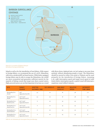

*Figure No. 04. Location of Vigilance Posts for Surveillance Coverage and Moorings*

Island as well as for the interdiction of local fishers. With respect to foreign fishers, we recommend the use of a 28 ft. Eduardono with twin 4-stroke100HP out board motors. While better equipped foreign fishers may be able to escape the Eduardono, the 100HP are more economical and guarantee sufficient muscle for the majority of fishing vessels that target near shore coastal waters. High-powered motors are not that important of an issue as a vessel

with divers down, deployed nets, etc isn't going to run away from anybody without abandoning people or gear. The Eduardono should be moored at either Coco point or Palmeto and be used primarily for the interdiction of foreign fishers. Assuming a 18—25Kt interception speed and target travel speed of 20Kt (total relative interception speed), a patrol vessel will intercept a suspicious vessel within 8 minutes.

| <b>SITE</b>                            | <b>TARGET</b><br><b>COURSE</b>                               | <b>SPOTTED</b><br><b>DISTANCE (NM)</b> | <b>TGT SPEED KT</b> | <b>OWN BOAT</b><br><b>SPEED KT.</b> | <b>RELATIVE</b><br><b>SPEED</b> | <b>INTERCEPT</b><br>TIME (MIN) |
|----------------------------------------|--------------------------------------------------------------|----------------------------------------|---------------------|-------------------------------------|---------------------------------|--------------------------------|
| Mooring Buoy No. 1<br>(North)          | $040^\circ$<br>(approaches from SW)                          | 4.5                                    | 20                  | 18                                  | 38                              | 7.11                           |
| Mooring Buoy No. 1<br>(North)          | 230 <sup>0</sup> to 240 <sup>0</sup><br>(approaches from E)  | 4.5                                    | 20                  | 18                                  | 38                              | 7.11                           |
| Mooring Buoy No. 2<br>(South-Coco Pt.) | $350^{\circ}$ to $345^{\circ}$<br>(approaches from S)        | 6                                      | 20                  | 25                                  | 45                              | 8                              |
| Mooring Buoy No. 2<br>(South-Coco Pt.) | 050 <sup>0</sup> to 040 <sup>0</sup><br>(approaches from SW) | 6                                      | 20                  | 25                                  | 45                              | 8                              |
| Mooring Buoy No. 3<br>(South-Palmetto) | 310 <sup>0</sup> to 320 <sup>0</sup><br>(approaches from SE) | 6                                      | 20                  | 25                                  | 45                              | 8                              |
| Mooring Buoy No. 3<br>(South-Palmetto) | 350 <sup>0</sup> to 000 <sup>0</sup><br>(approaches from S)  | 6                                      | 20                  | 25                                  | 45                              | 8                              |

*Table No. 08. Calculations for Interception Time from Moorings*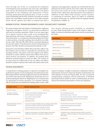Given the high cost of fuel, we recommend the installation of mooring buoys near sanctuaries, key access ways, and vigilance posts. By law, the National Port Authority (NPA) is the agency responsible for the installation and maintenance of buoys (mooring, demarcation and anchoring sites). As such, we recommend coordinating with the NPA. Instead of carrying out constant patrols, the vessel officers should remain in close radio communication with the vigilance post officer to respond only when a

suspicious vessel approaches a specific area. Granted this does not eliminate the need for patrols, but it does reduce the amount of fuel used as the vessels can sit idle at moorings for extended periods of time. Often times, physical presence of an authority is sufficient to deter fishers from entering a marine sanctuary or committing an infraction. Buoys are subject to vandalism, movement, storm surge, etc. and thus need to be regularly checked for placement, visibility, etc.

### MINIMUM STAFFING, TRAINING REQUIREMENTS & BASIC VIGILANCE/SAFETY EQUIPMENT

We cannot estimate the total number of administrative employees required for each agency, however, we can provide an estimate of staff need for maritime operations. While we do not expect agencies to operate 24 hours/7 days a week, we do recommend they begin planning enforcement schedules according to fishing patterns and seasons, i.e. carrying out monitoring and patrol activities at dusk and dawn. Generally speaking, there should be two shifts per day: 5AM–1PM and 1PM–9PM with an occasional adjustment as to prevent routine. Given their power of arrest and possession of firearms, the Police should be incorporated into patrols as well.

Each patrol vessel should be staffed with at least three officers: the Boat Captain and two officers responsible for interdiction and boarding activities. The patrol vessel and vigilance post officers should be in contact with the control center officer every hour to report location and situation. In addition, key landing docks should be monitored daily by at least one officer. The control center must always be staffed with at least one officer and officers should be trained to operate both vessels and control center activities thereby allowing greater flexibility in scheduling. As some illegal foreign fishers camp on the island at night, we highly recommend scheduling night patrols and the monitoring of key docks.

| <b>PERSONNEL</b>                              | <b>CLNP</b>    | <b>FISHERIES</b> |
|-----------------------------------------------|----------------|------------------|
| Senior Fisheries Officer / CNLP Park Director | $\mathbf{1}$   | $\mathbf{1}$     |
| Control Center Operations                     | $\overline{2}$ | $\overline{2}$   |
| Vigilance Posts (Coco Point & Palmetto)       | $\Omega$       | $\overline{4}$   |
| Crew for Vessels                              | $\overline{2}$ | $\overline{4}$   |
| <b>Inspectors at Docks</b>                    | $\overline{2}$ | $\overline{4}$   |
| Outreach and Education                        | $\mathbf{1}$   | 1                |
| <b>TOTAL</b>                                  | 8              | 16               |

*Table No. 09. Staffing Requirements for Control and Vigilance* 

### TRAINING REQUIREMENTS

1 4

A comprehensive training program is required to strengthen the professional capacity of each management and enforcement team. Below please find the minimum suggested courses for the Fisheries and CLNP enforcement staff. Management should also focus on professionalizing the officers by obligating the use of uniforms that are appropriate for marine operations. As a maritime authority, officers should also be prohibited from fishing while on duty. With

respect to trainings, we highly recommend a combination of theory and practical exercises for improved retention of information and swift adoption of newly developed skills. We also recommend complementing workshops with the elaboration of Standard Operating Protocols (SOPs) in order to institutionalize processes and prevent informal interpretation of rules and regulations.

| <b>COURSE TOPIC</b>                                   | <b>COURSE DESCRIPTION</b>                                                                                                                                                                                                                                          |                   |                                                                                                                                                                                                                                            |               |
|-------------------------------------------------------|--------------------------------------------------------------------------------------------------------------------------------------------------------------------------------------------------------------------------------------------------------------------|-------------------|--------------------------------------------------------------------------------------------------------------------------------------------------------------------------------------------------------------------------------------------|---------------|
| <b>Basic IMO Training</b>                             | • First Aid                                                                                                                                                                                                                                                        | • Survival at Sea | • Fire fighting                                                                                                                                                                                                                            |               |
| Surveillance, Detection,<br>Interdiction and Boarding | • Environmental and Fisheries Regulations Review<br>• Operations planning and preparation<br>• Use of visuals in marine patrolling<br>• VHF & GPS operation<br>• Boarding procedures                                                                               |                   | • Inter-institutional procedures<br>• Interviewing the suspect's boat crew<br>• Crime Scene Key practices. Evidence collection and handling.<br>Operations/Felony Reports. Information and items that are<br>typically in a "good" report. |               |
| Operations Planning and Control<br>Center Management  | • Control Center functions including asset use, reporting, communications<br>procedures, surveillance procedures, and documentation (logs).<br>• Telecommunications lines and coordination procedures<br>• Situation escalation procedures and real time reporting |                   | • Terrestrial charts interpretation and navigation<br>• Nautical charts interpretation and navigation<br>• Search and rescue<br>• Personal safety issues for patrolling and boarding                                                       |               |
| Yamaha Basic Service Training<br>Course               | • All officers must participate in an original equipment manufacturer<br>(OEM) basic outboard motor maintenance certification course                                                                                                                               |                   | • Two fisheries and one CLNP officer should be trained in second level<br>maintenance: computerized diagnostic, critical spares replacement and<br>motor tuning.                                                                           |               |
| <b>Standard Operating Protocols</b>                   | • Control Center                                                                                                                                                                                                                                                   | • Patrolling      | • Boarding Teams                                                                                                                                                                                                                           | • Maintenance |

*Table No. 10. Training Course Content*

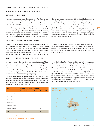### LIST OF VIGILANCE AND SAFETY EQUIPMENT FOR EACH AGENCY

A list and referential budget can be found on page 28.

### OUTREACH AND EDUCATION

Now that the new fishery regulations are in effect, both agency enforcement teams must develop a simple education and outreach plan directed towards local fishers, foreign fishers and the community alike. The BBHI has already developed a simple fact sheet outlining zonification, regulations, restrictions, and fines that should be widely distributed to all stakeholders in both Barbuda and Antigua. The agency Directors should lead outreach activities, however, enforcement officers too must do their part in dissemination. We also highly recommend involving both the Barbuda Council to reinforce the acceptance of the new regulations. A

phased approach to enforcement of laws should be implemented whereby violators are first warned about infractions over a 6—12 month trial period, but over time, officers should gradually impose "hard enforcement" sanctions. Authorities may consider first applying hard measures to Antiguan fishers to set precedent and gain local fisher buy-in. As most of the illegal fishers entering Barbuda are from Antigua, the Barbuda Council and its respective enforcement agencies should develop an Antigua campaign component to inform foreign fishers of upcoming changes and the gradual application of sanctions.

### VISUAL DETECTION SYSTEM FOR BARBUDA VESSELS

Currently Fisheries is responsible for vessel registry on an annual basis. We observed the registration of 19 vessels for 2014. We recommend piloting a practical visual detection program during the registration process whereby all Barbuda registered fisher vessels are painted with an additional symbol, which must correlate with its registration number. From an enforcement perspective, this

will help all stakeholders in easily differentiating between local and foreign vessels operating in territorial waters. As enforcement evolves in Barbuda over time, we recommend incorporating fishers and tourism operators as sensors for detecting and reporting suspicious activities.

### CONTROL CENTER AND VHF RADIO NETWORK UPGRADE

In order to foster joint patrolling and the optimization of finite resources, we recommend setting up a control center at Fisheries. The control center does not require substantial CAPEX, but as a minimum should include a desktop computer, monitors, digital storage, lock and key filing cabinets, and a safe among basic office furniture. It is important the control center allow officers to carry out their operations and planning with privacy.

The core of enforcement operations is the VHF marine radio network. The network will not only link the control center with patrol vessels and officers at ports and vigilance posts, but also holds potential for linking tourism operators and fishers into the control and vigilance system over time.

Given the height of the Fisheries office and lack of geographic obstructions, no repeater station is needed in order to extend the communications range of all the stations on shore and at sea. Marine 25W VHF-DSC base stations are needed at the control center and patrol vessels. Individual officers should be equipped with handheld marine radios. As illustrated in Figure 05, the Marine 25W VHF-DSC base stations provide 25NM coverage, which allows for communication between the control center and officers throughout territorial waters and beyond. The base stations also allow communication between Fisheries and CLNP staff to coordinate joint operations and share intelligence.

| <b>POST</b>                     | <b>MARINE VHF-DSC MARINE VHF</b><br><b>BASE STATION</b> | <b>HANDHELD RADIOS</b> |
|---------------------------------|---------------------------------------------------------|------------------------|
| <b>Fisheries Control Center</b> | $\mathbf{1}$                                            |                        |
| <b>Fisheries Patrol Vessel</b>  | $\mathbf{1}$                                            |                        |
| <b>Fisheries Field Officers</b> |                                                         | $\overline{4}$         |
| <b>CLNP</b> Director            | $\mathbf{1}$                                            |                        |
| <b>CLNP Patrol Vessel</b>       | $\mathbf{1}$                                            |                        |
| CLNP Field Officers             |                                                         | $\overline{2}$         |
| <b>TOTAL</b>                    | 16                                                      | 8                      |

*Table No. 11. Radio Equipment Requirements*

*Figure No. 05. Range of 25W VHF-DSC base station radios*

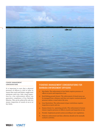

### **FISHERY MANAGEMENT** CONSIDERATIONS

It is important to note that a physical presence of officers is vital in order to ensure that conch and lobster caught meet minimum catch size. Only visual inspection by a law enforcement officer can guarantee compliance of key Barbuda fisheries. This can be achieved by only two means: inspection of vessels at sea or at key docks.

### FISHERIES MANAGEMENT CONSIDER ATIONS FOR BARBUDA ENFORCEMENT OFFICERS

- 1. Size limits: The enforcement of size limits requires presence of officers at ports and inspection at sea.
- 2. Reef/fishing ground closure: The enforcement of closed areas can be managed from a distance and does not require constant physical presence unless a vessel enters the area.
- 3. Gear Restriction: The enforcement of gear restrictions requires inspection at ports and sea.
- 4. Season closure (i.e. spawning periods.) The enforcement of season closure requires presence of officers at ports and inspection at sea.
- 5. Permits: Implement permit system according to new regulations.
- 6. Fisheries enforcement and data collection should not be mutually exclusive activities.



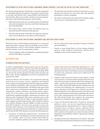### DEVELOPMENT OF INTER-INSTITUTIONAL AGREEMENT AMONG FISHERIES, CLNP AND THE POLICE FOR JOINT OPERATIONS.

The aforementioned agencies should sign a cooperative agreement for sustainable fisheries management. The agencies must develop a work plan and identify roles, responsibilities and funding for joint activities. There are currently a number of concrete opportunities that would benefit both agencies, which include:

- Both enforcement teams are at a similar stage in development and professionalization, thus they could divide training costs and co-develop SOPs;
- The control center, patrol vessels and vigilance posts are assets that should be shared by both agencies;
- The VHF radio network would allow for improved communication and coordination in surveillance and interdiction;
- The education and outreach activities of each agency can complement and reinforce the work of the other and should be presented as a cohesive campaign;
- The Police is interested in the enforcement of fishery regulations, however, a formal agreement is required.

1 7

### DEVELOPMENT OF INTER-INSTITUTIONAL AGREEMENT AND SOPS WITH COAST GUARD

While the CG has a limited budget and personnel, we recommend approaching them to gauge interest in drafting an inter-institutional agreement as they are the maritime authority and have a fisheries mandate. Concrete opportunities include:

- The CG could place officers in Barbuda to accompany Fisheries and the CLNP officers on patrols;
- The CG could provide some specialized training to Fisheries and CLNP officers;
- Finally, as many illegal fishers are from Antigua, Barbuda agencies could coordinate interdictions with the CG as Antiguans return to their respective ports.

### **INTERDICTION**

### STANDARD OPERATING PROTOCOLS

In order to institutionalize training sessions and raise the professional standards of officers, agencies must draft and implement SOPs for control center operation, patrolling and boarding. SOPs are vital for the smooth operation of enforcement activities and officer safety. We have highlighted several key considerations for inclusion into SOPs:

*Document Policies and Procedures.* We recommend capturing *desired* and *correct* policy, process, guidelines and required actions within an institutional framework that supports immediate access, definition, and fidelity. These documents should be generated in the form of individual SOPs. The SOPs provide agency staff with a ready source of information and guidance related to patrol management, evidence collection, case file generation requirements, use of force policy, report submission and information requirements, equipment checklists, maintenance procedures, and other key tasks. Creating the SOPs can be an iterative process with initial focus on SOPs that are likely to yield immediate performance support and field enhancements. SOPs should be collected into a *Mission Readiness Manual* (MRM) or similar document. Each SOP should be reviewed at least annually to ensure the procedures and content are current, that they reflect the direction and goals of the agency Directors and that they are understood and used by the all staff. SOPs should cover at least the following areas:

*1. Document all Reporting Requirements.* Document all required reports including their required submission period (i.e., monthly, yearly, as occurs), sample reports that are correctly completed, guidance about any areas that typically require improvement and submission information (i.e., who submits, where the report is sent). The SOP should emphasize operational and safety reporting best practices and principles as noted in the operations section and as delivered in the training program.

- *2. Institute a Risk Assessment Process.* Patrol officers, control center operators, and senior leaders should institute the operational risk assessment model provided in the training course within a specific risk assessment and management SOP. The Green, Amber, Red (GAR) model provides a uniform basis for assessing and mitigating risk. Implementing it across the agency operations will support more effective operations. Implementing the system will also promote more honest and open communications and discussion regarding risks encountered while conducting patrol and enforcement operations. The SOP should include who completes the assessments, when they are conducted, and how they are reported.
- *3. Create and Document Operations Procedures.* Document guidance, policy, and process regarding planning and conducting patrols, operational tasks (i.e., when to conduct a boarding, when to conduct a seizure, authority levels), preplanned actions (i.e., what to do if a vessel is overdue), use of force policies and examples, key points of contact and their designated responsibilities within an Operational Guidance SOP or SOPs.
- *4. Identify and Document Maintenance Procedures.* This SOP series should include general maintenance process and policy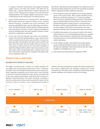to support systematic maintenance and support including supply sources, job aides and systems. This SOP may be broken into a separate Maintenance Support Manual as all aspects of the maintenance program are documented and institutionalized. The Yamaha supplier is the primary source of information for the maintenance of outboard motors.

- *5. Create Initial and Recurrent Training Plans.* The Training SOP should include all required training events, required delivery frequency, evaluation and review procedures, and exercises and drills for basic survival, lifesaving, and enforcement. The SOP should also include specific training programs and materials for each piece of major equipment/equipment systems including tasks and steps needed to perform routine operations, maintenance, and repair.
- *6. Create Job and Task Specific Job Aides and Checklists.* Capture Job and Task specific guidance, steps, and processes within standardized job aides and checklists. Incorporate these job aides and checklists into their respective SOPs and place them into ready reference guides that can be kept in a cargo pants or shirt pocket for use in the field. Examples of typical boarding job aides include vessel measurement, search and seizure steps and reporting tasks, synopses of laws and their enforcement requirements, equipment operating steps for key equipment tasks, etc.

*Operations.* Operational recommendations are mainly focused on enacting and then putting into practice the preceding recommendations regarding training, equipment and policy.

- 1. All at sea patrol vessels and vigilance posts should regularly report to the control center. These reports should be at least hourly for small boat operations (i.e., routine patrolling) and event driven (during boarding operations). Operational reports should include current position or references from predetermined points if using unsecure communications, intentions, and key operational factors when they exist (e.g., sea state, fatigue, GAR model risk assessment, fuel state, departures/changes from arranged patrol plan movements).
- 2. Establish and maintain a live presence/watch in the control center whenever at-sea and boarding operations are ongoing. Include normal operations reporting, lost communications reporting/actions, in brief and debrief checks as part of their routine operations.
- 3. Create sample case files, case debriefs and regular liaison sessions with the Barbuda Council to ensure that officers develop and implement enforcement activity that has a high confidence of standing up in court.
- 4. Issue and use personal protective equipment (PPE).

### PROSECUTION & SANCTIONS

1 8

### DATABASE WITH RECORD OF VIOLATORS

We highly recommend the creation of a simple database for recording and crosschecking information tied to violations. Normally, when basic background information exists on past incidents, important conclusions can be drawn with a recent incident as well as the motivation behind the crime. We have provided a list of the most common information required for the creation of a database, illustrated below. The system should be accessible to other law enforcement entities and also permit the input of their records in order to provide a more comprehensive profile of violators. The more information recorded, the clearer the sketch of the violator. Additionally, the database could provide useful information for Managers when scheduling and planning patrols thereby enabling a more efficient and low cost strategy.



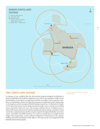

### FINAL SURVEILLANCE COVERAGE

In closing, we are confident that the enforcement program designed for Barbuda is practical, affordable and feasible to implement over a three-year timeframe. While it is the responsibility of each agency to implement activities according to their respective timelines, it would behoove them to develop their programs in tandem given their similar stage in development and the synergies afforded through cooperation. As illustrated in Figure 06, the final enforcement system design provides strategic sensor coverage to key fishing areas, sanctuaries and access ways. Our strategy combines the use of vigilance post, a robust VHF marine radio network with the strategic placement of buoys, and patrol vessels to provide a constant presence and fast response capacity throughout Barbuda's near shore waters. All CAPEX and OPEX decisions were made in consideration of a highly limited budget. More importantly, we have defined a blueprint of critical steps for the capacity building and professionalization of the officers, who truly are the core component of the Barbuda enforcement program.

*Figure No. 06. Final Surveillance Coverage with Zonification*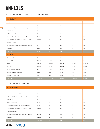# ANNEXES

2 0

### CASH FLOW SUMMARY - CODRINGTON LAGOON NATIONAL PARK

| <b>CAPEX: CLNP</b>                                       |           |           |           |           |           |
|----------------------------------------------------------|-----------|-----------|-----------|-----------|-----------|
| CONCEPT                                                  | YEAR I    | YEAR 2    | YEAR 3    | YEAR 4    | YEAR 5    |
| A. OUTLOOK POSTS & SHELTERS/OFFICES                      | \$0       | \$0       | \$0       | \$0       | \$0       |
| B. Electrical Works, Protection, Emergency Supply        | \$0       | \$0       | \$0       | \$0       | \$0       |
| C. Civil Works                                           | \$0       | \$0       | \$0       | \$0       | \$0       |
| D. Teleconmunications                                    | \$4,770   | \$0       | \$0       | \$0       | \$0       |
| E. Maritime Surveillance Display & Control System        | \$3,000   | \$0       | \$0       | \$0       | \$0       |
| F. Mooring Buoy System (for boats of up to 45 ft length) | \$13,350  | \$0       | \$0       | \$0       | \$0       |
| G. Boats & Accessories                                   |           |           |           |           |           |
| 28" Fiber Glass boat w/Canopy and command panel/seat     | \$0       | \$0       | \$0       | \$0       | \$0       |
| Accessories                                              | \$700     | \$o       | \$0       | \$0       | \$0       |
| <b>SUBTOTAL</b>                                          | \$21,820  | \$0\$     | \$0       | \$0       | \$0       |
| <b>OPEX: CLNP</b>                                        |           |           |           |           |           |
| Fixed Asstes Maintenance & Repair                        | \$0       | \$1,091   | \$1,124   | \$1,157   | \$1,192   |
| <b>Expendable Expenses</b>                               | \$12,758  | \$5,912   | \$5,912   | \$12,758  | \$5,912   |
| Staffing                                                 | \$119,500 | \$123,085 | \$126,778 | \$130,581 | \$134,498 |
| <b>Fuel Costs</b>                                        | \$17,529  | \$18,055  | \$18,596  | \$19,154  | \$19,729  |
| Utilities (electricity, telephone)                       | \$1,000   | \$1,030   | \$1,061   | \$1,093   | \$1,126   |
| Stationary, copies, office supplies                      | \$500     | \$515     | \$530     | \$546     | \$563     |
| Insurance (3% assets value)                              | \$655     | \$674     | \$694     | \$715     | \$737     |
| <b>SUBTOTAL</b>                                          | \$151,942 | \$150.362 | \$154,695 | \$166.005 | \$163,756 |

### CASH FLOW SUMMAY - FISHERIES

| <b>CAPEX: FISHERIES</b>                                  |           |                   |                   |        |        |  |  |  |
|----------------------------------------------------------|-----------|-------------------|-------------------|--------|--------|--|--|--|
| CONCEPT                                                  | YEAR I    | YEAR <sub>2</sub> | YEAR <sub>3</sub> | YEAR 4 | YEAR 5 |  |  |  |
| A. Outlook Posts & Shelters/Offices                      | \$41,000  | \$0               | \$0               | \$0    | \$0    |  |  |  |
| B. Electrical Works, Protection, Emergency Supply        | \$7,700   | \$0               | \$0               | \$0    | \$0    |  |  |  |
| C. Civil Works                                           | \$2,000   | \$0               | \$0               | \$0    | \$0    |  |  |  |
| D. Teleconmunications                                    | \$5,890   | \$0               | \$0               | \$0    | \$0    |  |  |  |
| E. Maritime Surveillance Display & Control System        | \$3,000   | \$0               | \$0               | \$0    | \$0    |  |  |  |
| F. Mooring Buoy System (for boats of up to 45 ft length) | \$28,950  | \$0               | \$0               | \$0    | \$0    |  |  |  |
| G. Boats & Accessories                                   |           |                   |                   |        |        |  |  |  |
| 28" Fiber Glass boat w/Canopy and command panel/seat     | \$24,500  | \$0               | \$0               | \$0    | \$0    |  |  |  |
| Accessories                                              | \$29,300  | \$0               | \$0               | \$0    | \$0    |  |  |  |
| <b>SUBTOTAL</b>                                          | \$142,340 | \$0               | \$0               | \$0    | \$0    |  |  |  |

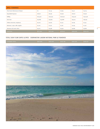| <b>OPEX: FISHERIES</b>              |           |           |           |           |           |  |  |  |
|-------------------------------------|-----------|-----------|-----------|-----------|-----------|--|--|--|
| Fixed Asstes Maintenance & Repair   | \$0       | \$2,749   | \$2,832   | \$2,917   | \$3,004   |  |  |  |
| <b>Expendable Expenses</b>          | \$18,167  | \$6,096   | \$6,096   | \$18,167  | \$6,096   |  |  |  |
| Staffing                            | \$213,500 | \$219,905 | \$226,502 | \$233,297 | \$240,296 |  |  |  |
| Fuel Costs                          | \$32,866  | \$33,852  | \$34,868  | \$35,914  | \$36,992  |  |  |  |
| Utilities (electricity, telephone)  | \$2,000   | \$2,060   | \$2,122   | \$2,185   | \$2,251   |  |  |  |
| Stationary, copies, office supplies | \$1,000   | \$1,030   | \$1,061   | \$1,093   | \$1,126   |  |  |  |
| Insurance (3% assets value)         | \$4,270   | \$4,398   | \$4,530   | \$4,666   | \$4,806   |  |  |  |
| <b>SUBTOTAL</b>                     | \$271,804 | \$270,091 | \$278,011 | \$298,240 | \$294,570 |  |  |  |

### TOTAL CASH FLOW CAPEX & OPEX - CODRINGTON LAGOON NATIONAL PARK & FISHERIES

| \$420.453<br>\$432.706<br>\$587.906<br><b>EXPENSES TOTAL</b><br>\$464.245 | \$458,327 |
|---------------------------------------------------------------------------|-----------|

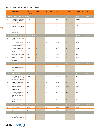### SURVEILLANCE SYSTEM CAPITAL EXPENSES (CAPEX)

| <b>ITEM</b>      | <b>COMPONENTS</b>                                                                                 | <b>COST</b><br>(INSTALLED) | <b>CLNP</b>  | <b>FISHERIES</b> | <b>TOTAL</b> | <b>CLNP</b> | <b>FISHERIES</b> | <b>TOTAL</b> |
|------------------|---------------------------------------------------------------------------------------------------|----------------------------|--------------|------------------|--------------|-------------|------------------|--------------|
|                  | A. OUTLOOK POSTS & SHELTERS/OFFICES                                                               |                            |              |                  |              | \$0\$       | \$41,000         | \$41,000     |
| 1.               | Self sustained/squared base<br>Tower, 5m (wooden struc-<br>ture w/canopy)                         | \$7,500                    | $\mathbf 0$  | $\,$ 3 $\,$      | \$22,500     | \$0         | \$22,500         |              |
| $1.1\,$          | Shelter (transportablepre<br>fabricated office w/toilette)<br>for docks control                   | \$7,000                    | $\mathbf 0$  | $\mathbf 2$      | \$14,000     | \$0         | \$14,000         |              |
| 2.               | Tower area arrangements<br>and foundings                                                          | \$1,500                    | $\mathbf{o}$ | $\sqrt{3}$       | \$4,500      | \$0         | \$4,500          |              |
|                  | B. ELECTRICAL WORKS, PROTECTION, EMERGENCY SUPPLY                                                 |                            |              |                  |              | \$0         | \$7,700          | \$7,700      |
| 3.               | Direct Current (DC) Power<br>Supply                                                               |                            |              |                  |              |             |                  |              |
| 3.1              | 2KVA Deep cycle battery<br>bank w/4h supply capacity:<br>4x12V 100AH batteries                    | \$3,600                    | $\mathbf 0$  | $\,1\,$          | \$3,600      | \$0         | \$3,600          |              |
| $3.2\phantom{0}$ | 48VDC power supply with<br>charge control/battery<br>charger                                      | \$1,800                    | $\mathbf 0$  | $\,1\,$          | \$1,800      | \$0         | \$1,800          |              |
| 3.3              | Battery shelter (fiber glass)                                                                     | \$800                      | $\mathbf 0$  | $\,1\,$          | \$800        | \$0         | \$800            |              |
| 3.4              | Inverter (2KVA). Supplies<br>AC at control center<br>computers                                    | \$1,500                    | $\mathbf 0$  | $\,$ 1           | \$1,500      | \$0         | \$1,500          |              |
|                  | C. CIVIL WORKS                                                                                    |                            |              |                  |              | \$0\$       | \$2,000          | \$2,000      |
| 4.               | Control center modification<br>and refurbishings (worksta-<br>tions, electric outlets,<br>lights) | \$2,000                    | $\mathbf 0$  | $\,1\,$          | \$2,000      | \$0         | \$2,000          |              |
|                  | D. TELECONMUNICATIONS                                                                             |                            |              |                  |              | \$4,770     | \$5,890          | \$10,660     |
| $5-$             | 25W Marine VHFDSCD<br>Base Stations Radio w/3dB<br>Antenna installed on boats                     | \$1,600                    | $\,$ 2 $\,$  | $\,2\,$          | \$6,400      | \$3,200     | \$3,200          |              |
| 6.               | Marine VHF Base Radio<br>power supply                                                             | \$450                      | $1\,$        | $\mathbf 1$      | \$900        | \$450       | \$450            |              |
| 7.               | 1W5W Waterproof/<br>Floatable IPX7 portable<br>Marine VHFDSC D                                    | \$400                      | $\mathbf 2$  | $\overline{4}$   | \$2,400      | \$800       | \$1,600          |              |
| 8.               | Portable radios additional<br>batteries (long life).<br>Includes antenna and belt<br>clip/hanger  | \$85                       | $\mathbf 2$  | $\overline{4}$   | \$510        | \$170       | \$340            |              |
| 9.               | Portable radios battery<br>charger                                                                | \$75                       | $\mathbf 2$  | $\overline{4}$   | \$450        | \$150       | \$300            |              |
|                  | E. MARITIME SURVEILLANCE DISPLAY & CONTROL SYSTEM                                                 |                            |              |                  |              | \$3,000     | \$3,000          | \$6,000      |
| 10.              | Desktop Server                                                                                    | \$2,200                    | $\,1\,$      | $\,$ 1           | \$4,400      | \$2,200     | \$2,200          |              |
| 11.              | 23" monitors                                                                                      | \$400                      | $\mathbf 2$  | $\,2\,$          | \$1,600      | \$800       | \$800            |              |
|                  | F. MOORING BUOY SYSTEM (FOR BOATS OF UP TO 45 FT LENGTH)                                          |                            |              |                  |              | \$13,350    | \$28,950         | \$42,300     |
| $12. \,$         | Site Survey and selection.<br>Search and marking of final<br>points                               | \$3,250                    | $\,1\,$      | $\mathbf 2$      | \$9,750      | \$3,250     | \$6,500          |              |



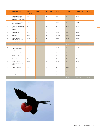| <b>ITEM</b> | <b>COMPONENTS</b>                                                             | <b>COST</b><br>(INSTALLED) | <b>CLNP</b>    | <b>FISHERIES</b> | <b>TOTAL</b> | <b>CLNP</b> | <b>FISHERIES</b> | <b>TOTAL</b> |
|-------------|-------------------------------------------------------------------------------|----------------------------|----------------|------------------|--------------|-------------|------------------|--------------|
| 13.         | Mooring Anchor: Helix<br>(12'), Halas or Manta<br>(depends on type of bottom) | \$750                      | $\mathbf 1$    | $\,2\,$          | \$2,250      | \$750       | \$1,500          |              |
| 14.         | DELTEX (De Lama) Cable.<br>Diam. 22mm, 100m.                                  | \$2,250                    | $\mathbf 0$    | $\,1\,$          | \$2,250      | \$0         | \$2,250          |              |
| 15.         | Connectors, Swivels, shack-<br>els (includes 1 spare pair for<br>each MPA)    | \$450                      | $\overline{a}$ | $\,$ 8 $\,$      | \$5,400      | \$1,800     | \$3,600          |              |
| 16.         | <b>Mooring Buoys</b>                                                          | \$750                      | $\,1\,$        | $\,2\,$          | \$2,250      | \$750       | \$1,500          |              |
| 17.         | Installation                                                                  | \$5,000                    | $1\,$          | $\,2\,$          | \$15,000     | \$5,000     | \$10,000         |              |
| 18.         | Drilling equipment &<br>Installation (Helix, Manta<br>or Halas). Rented       | \$1,800                    | $\mathbf 1$    | $\,2\,$          | \$5,400      | \$1,800     | \$3,600          |              |
|             | G. BOATS & ACCESSORIES                                                        |                            |                |                  |              | \$700       | \$53,800         | \$54,500     |
| 19.         | 28" Fiber Glass boat w/<br>Canopy and command<br>panel/seat                   | \$24,500                   | $\mathbf O$    | $\,1\,$          | \$24,500     | \$0         | \$24,500         |              |
| 20.         | 100 HP 4 Stroke O/B motor                                                     | \$11,500                   | $\mathbf{o}$   | $\,2\,$          | \$23,000     | \$0         | \$23,000         |              |
| 21.         | Twin Remote Control                                                           | \$1,700                    | $\mathbf 0$    | $\,1\,$          | \$1,700      | \$0         | \$1,700          |              |
| 22.         | Panel Switch                                                                  | \$800                      | $\mathbf 0$    | $1\,$            | \$800        | \$0         | \$800            |              |
| 23.         | Yamaha/Mercury<br>Diagnostic Computer Set<br>with PC                          | \$2,800                    | $\mathbf 0$    | $1\,$            | \$2,800      | \$0         | \$2,800          |              |
| 24.         | Yamaha compression<br>testers                                                 | \$500                      | $\mathbf 1$    | $1\,$            | \$1,000      | \$500       | \$500            |              |
| 25.         | Anchor                                                                        | \$200                      | $1\,$          | $\,$ 1 $\,$      | \$400        | \$200       | \$200            |              |
| 26.         | 5 Gal. Plastic Gas Tanks                                                      | \$150                      | $\mathbf{o}$   | $\,2\,$          | \$300        | \$0         | \$300            |              |
|             |                                                                               |                            |                |                  |              | \$21,820    | \$142,340        | \$164,160    |

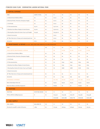### ITEMIZED CASH FLOW - CODRINGTON LAGOON NATIONAL PARK

| <b>I. CAPITAL EXPENSE</b>                                                  |                       |                |             |           |           |                |                |
|----------------------------------------------------------------------------|-----------------------|----------------|-------------|-----------|-----------|----------------|----------------|
| <b>ITEM</b>                                                                | <b>CAPEX TOTAL</b>    | Y0             | YI          | <b>Y2</b> | Y3        | Y4             | Y <sub>5</sub> |
| A. Outlook Posts & Shelters/Offices                                        | \$0                   | \$0            | \$0.00      | \$0       | \$0       | \$0            | \$0            |
| B. Electrical Works, Protection, Emergency Supply                          | \$0                   | \$o            | \$0.00      | \$0       | \$0       | \$0            | \$0            |
| C. Civil Works                                                             | \$0                   | \$0            | \$0.00      | \$0       | \$0       | \$0            | \$0            |
| D. Teleconmunications                                                      | \$4,770               | \$0            | \$4,770.00  | \$0       | \$0       | \$0            | \$0            |
| E. Maritime Surveillance Display & Control System                          | \$3,000               | \$0            | \$3,000.00  | \$0       | \$0       | \$0            | \$0            |
| F. Mooring Buoy System (for boats of up to 45 ft length)                   | \$13,350              | \$o            | \$13,350.00 | \$0       | \$0       | \$0            | \$0            |
| G. Boats & Accessories                                                     |                       | \$0            | \$0.00      | \$0       | \$0       | \$0            | \$0            |
| 28" Fiber Glass boat w/Canopy and command panel/seat                       | \$0                   | \$0            | \$0.00      | \$0       | \$0       | \$0            | \$0            |
| Accessories                                                                | \$700                 | \$0            | \$700       | \$0       | \$0       | \$0            | \$0            |
| 2. MAINTENANCE & REPAIR: 5% EST. RATE FOR FIXED ASSETS & 3% INFLATION RATE |                       |                |             |           |           |                |                |
| <b>ITEM</b>                                                                |                       | Y <sub>0</sub> | YI          | <b>Y2</b> | Y3        | Y <sub>4</sub> | Y <sub>5</sub> |
| <b>FIXED ASSTES MAINTENANCE &amp; REPAIR</b>                               | %                     |                | \$0         | \$1,091   | \$1,124   | \$1,157        | \$1.192        |
| A. Outlook Posts & Shelters/Offices                                        |                       | \$0            | \$0         | \$0       | \$0       | \$0            | \$0            |
| B. Electrical Works, Protection, Emergency Supply                          |                       | \$0            | \$0         | \$0       | \$o       | \$0            | \$0            |
| C. Civil Works                                                             |                       | \$0            | \$0         | \$0       | \$o       | \$0            | \$0            |
| D. Teleconmunications                                                      |                       | \$0            | \$0         | \$239     | \$246     | \$253          | \$261          |
| E. Maritime Surveillance Display & Control System                          |                       | \$0            | \$0         | \$150     | \$155     | \$159          | \$164          |
| F. Mooring Buoy System (for boats of up to 45 ft length)                   |                       | \$0            | \$0         | \$668     | \$688     | \$708          | \$729          |
| G. Boats & Accessories                                                     |                       |                |             |           |           |                |                |
| 28" Fiber Glass boat w/Canopy and command panel/seat                       |                       | \$0            | \$0         | \$0       | \$0       | \$0            | \$0            |
| Accessories                                                                |                       | \$0            | \$o         | \$35      | \$36      | \$37           | \$38           |
| <b>EXPENDABLE EXPENSES</b>                                                 |                       |                | \$12,758    | \$5,912   | \$5,912   | \$12,758       | \$5,912        |
| Boats Critical Spare Parts List                                            |                       | \$0            | \$5,912     | \$5,912   | \$5,912   | \$5,912        | \$5,912        |
| Boats Surveillance and Safety Equipment                                    |                       | \$0            | \$6,846     | \$0       | \$0       | \$6,846        | \$0            |
| 3. STAFFING                                                                |                       |                |             |           |           |                |                |
| <b>STAFFING</b>                                                            | <b>STAFFING NEEDS</b> | Y0             | YI          | Y2        | Y3        | Y4             | Y5             |
| TOTAL ANNUAL Staffing Expenses                                             | $\,$ 8 $\,$           | \$0            | \$119,500   | \$123,085 | \$126,778 | \$130,581      | \$134,498      |
|                                                                            |                       |                | \$119,500   | \$123,085 | \$126,778 | \$130,581      | \$134,498      |
| <b>4. FUEL SUPPLY</b>                                                      |                       |                |             |           |           |                |                |
| <b>FUEL COSTS</b>                                                          | GALLONS/YR            | Y <sub>0</sub> | YI          | Y2        | Y3        | Y4             | Y5             |
| Provision for 2x40HP 2-stroke O/B motors                                   | 2,864                 | \$0            | \$17,529    | \$18,055  | \$18,596  | \$19,154       | \$19,729       |

**WILDAID** 

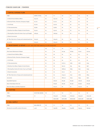### ITEMIZED CASHFLOW - FISHERIES

| <b>I. CAPITAL EXPENSE FLOW</b>                                             |                       |                |           |           |           |           |                |
|----------------------------------------------------------------------------|-----------------------|----------------|-----------|-----------|-----------|-----------|----------------|
| <b>ITEM</b>                                                                | <b>CAPEX TOTAL</b>    | Y <sub>0</sub> | YI        | <b>Y2</b> | Y3        | Y4        | Y5             |
| A. Outlook Posts & Shelters/Offices                                        | \$41,000              | \$0            | \$41,000  | \$0       | \$0       | \$0       | \$0            |
| B. Electrical Works, Protection, Emergency Supply                          | \$7,700               | \$0            | \$7,700   | \$0       | \$0       | \$0       | \$0            |
| C. Civil Works                                                             | \$2,000               | \$0            | \$2,000   | \$0       | \$0       | \$0       | \$0            |
| D. Teleconmunications                                                      | \$5,890               | \$0            | \$5,890   | \$0       | \$0       | \$0       | \$0            |
| E. Maritime Surveillance Display & Control System                          | \$3,000               | \$0            | \$3,000   | \$0       | \$0       | \$0       | \$0            |
| F. Mooring Buoy System (for boats of up to 45 ft length)                   | \$28,950              | \$0            | \$28,950  | \$0       | \$0       | \$0       | \$0            |
| G. Boats & Accessories                                                     |                       |                |           |           |           |           |                |
| 28" Fiber Glass boat w/Canopy and command panel/seat                       | \$24,500              | \$0            | \$24,500  | \$0       | \$0       | \$0       | \$0            |
| Accessories                                                                | \$29,300              | \$0            | \$29,300  | \$0       | \$0       | \$0       | \$0            |
| 2. MAINTENANCE & REPAIR: 5% EST. RATE FOR FIXED ASSETS & 3% INFLATION RATE |                       |                |           |           |           |           |                |
| <b>ITEM</b>                                                                |                       | Y <sub>0</sub> | YI        | <b>Y2</b> | Y3        | Y4        | Y <sub>5</sub> |
| Fixed Asstes Maintenance & Repair                                          |                       | \$0            | \$0       | \$2,749   | \$2,832   | \$2,917   | \$3,004        |
| A. Outlook Posts & Shelters/Offices                                        |                       | \$0            | \$0       | \$0       | \$0       | \$0       | \$0            |
| B. Electrical Works, Protection, Emergency Supply                          |                       | \$0            | \$0       | \$0       | \$0       | \$0       | \$0            |
| C. Civil Works                                                             |                       | \$0            | \$0       | \$0       | \$0       | \$0       | \$0            |
| D. Teleconmunications                                                      |                       | \$0            | \$0       | \$176.70  | \$182     | \$187     | \$193          |
| E. Maritime Surveillance Display & Control System                          |                       | \$0            | \$0       | \$90.00   | \$93      | \$95      | \$98           |
| F. Mooring Buoy System (for boats of up to 45 ft length)                   |                       | \$0            | \$0       | \$868.50  | \$895     | \$921     | \$949          |
| G. Boats & Accessories                                                     |                       | \$0            | \$0       | \$0.00    | \$0       | \$0       | \$0            |
| 28" Fiber Glass boat w/Canopy and command panel/seat                       |                       | \$0            | \$0       | \$735.00  | \$757     | \$780     | \$803          |
| Accessories                                                                |                       | \$0            | \$0       | \$879.00  | \$905     | \$933     | \$961          |
| <b>Expendable Expenses</b>                                                 |                       |                | \$18,167  | \$6,096   | \$6,096   | \$18,167  | \$6,096        |
| Boats Critical Spare Parts List                                            |                       |                | \$6,096   | \$6,096   | \$6,096   | \$6,096   | \$6,096        |
| Boats Surveillance and Safety Equipment                                    |                       |                | \$12,071  | \$0       | \$0       | \$12,071  | \$0            |
| 3. STAFFING                                                                |                       |                |           |           |           |           |                |
| <b>ITEM</b>                                                                | <b>STAFFING NEEDS</b> | Y <sub>0</sub> | YI        | <b>Y2</b> | Y3        | Y4        | Y <sub>5</sub> |
| Staffing                                                                   | 16                    | $\rm _O$       | \$213,500 | \$219,905 | \$226,502 | \$233,297 | \$240,296      |
|                                                                            |                       |                | \$213,500 | \$219,905 | \$226,502 | \$233,297 | \$240,296      |
| <b>4. FUEL SUPPLY</b>                                                      |                       |                |           |           |           |           |                |
| <b>ITEM</b>                                                                | GALLONS/YR            | Y <sub>0</sub> | YI        | Y2        | Y3        | Y4        | Y5             |
| Provision for 2x100HP 4-stroke O/B motors                                  | 5,370                 | \$0            | \$32,866  | \$33,852  | \$34,868  | \$35,914  | \$36,992       |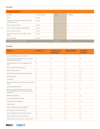### STAFFING

| <b>HUMAN RESOURCES</b>                                                              |                 |              |                  |  |  |  |  |  |
|-------------------------------------------------------------------------------------|-----------------|--------------|------------------|--|--|--|--|--|
| <b>POSITION</b>                                                                     | YEARLY PAY US\$ | CLNP         | <b>FISHERIES</b> |  |  |  |  |  |
| Director                                                                            | \$21,500        | $\mathbf{1}$ | 1                |  |  |  |  |  |
| Fisheries Oficer / Environmental Officer (perform also as<br>Control Ctr Operators) | \$18,000        | $\mathbf{1}$ | 1                |  |  |  |  |  |
| Fisheries Assistants: Inspectors                                                    | \$12,500        | $\sqrt{2}$   | $\overline{4}$   |  |  |  |  |  |
| Boat Crew (fisheries assistants and park assistants)                                | \$12,500        | $\sqrt{2}$   | $\overline{4}$   |  |  |  |  |  |
| Fisheries Assistants: Outlooks                                                      | \$11,000        | $\mathbf{o}$ | $\overline{4}$   |  |  |  |  |  |
| Control Center Operators (Fisheries Officer and Envmt<br>Officer)                   | \$14,000        | $\mathbf{1}$ | <sup>1</sup>     |  |  |  |  |  |
| Outreach specialists                                                                | \$16,000        | 1            | 1                |  |  |  |  |  |
| TOTAL ANNUAL STAFFING EXPENSES                                                      |                 | \$119,500    | \$213,500        |  |  |  |  |  |

### TRAINING

| <b>CONCEPT</b>                                                                                                                             | <b>DIRECTOR</b> | <b>CONTROL CTR.</b><br><b>OPERATORS</b> | <b>PARK WARDENS</b> | <b>FISHERIES</b><br><b>OFFICERS</b> |
|--------------------------------------------------------------------------------------------------------------------------------------------|-----------------|-----------------------------------------|---------------------|-------------------------------------|
| Environmental/Fisheries basic course/training                                                                                              |                 |                                         |                     |                                     |
| Environmental and Fisheries regulations review - Duties of<br>Park rangers & Fisheries officers                                            | $\mathbf X$     | $\mathbf X$                             | $\mathbf X$         | $\mathbf X$                         |
| Basic IMO safety course: First Aid, fire fighting, survival<br>at sea                                                                      | X               | X                                       | X                   | X                                   |
| Marine Coastal Enforcement Operations:                                                                                                     |                 |                                         |                     |                                     |
| MPA Eco System description                                                                                                                 | X               | $\mathbf X$                             | X                   | $\mathbf X$                         |
| Nautical Chart reading and pilotage (coastal navigation)                                                                                   | $\mathbf X$     | $\mathbf X$                             | $\mathbf X$         | $\mathbf X$                         |
| VHF radio operation                                                                                                                        | X               | X                                       | X                   | X                                   |
| GPS operation                                                                                                                              | X               | X                                       | X                   | X                                   |
| Surveillance: Binoculars and night vision devices. Concepts &<br>practice                                                                  | $\mathbf X$     |                                         | $\mathbf X$         | $\mathbf X$                         |
| Operations planning procedures                                                                                                             | $\mathbf X$     | $\mathbf X$                             |                     |                                     |
| Operations execution procedures (Control center/boats/<br>posts): reporting, log books, formats (patrol accomplished,<br>detentioin, etc.) | $\mathbf X$     | $\mathbf X$                             | $\mathbf X$         | $\mathbf X$                         |
| Boarding procedures & CSI                                                                                                                  | $\mathbf X$     |                                         | $\mathbf X$         | $\mathbf X$                         |
| <b>Inter-Agencies Operational Procedures</b>                                                                                               | $\mathbf X$     | $\mathbf X$                             |                     |                                     |
| Outboard motors basic maintenance                                                                                                          |                 |                                         | X                   | X                                   |
| <b>Legal Procedures</b>                                                                                                                    |                 |                                         |                     |                                     |
| Offences & Penalties review (Park and Fisheries)                                                                                           | X               | X                                       | X                   | X                                   |
| Delivering notice of offences and violations                                                                                               | $\mathbf X$     |                                         | $\mathbf X$         | $\mathbf X$                         |
| Report wrinting: Reporting fomats, related procedures                                                                                      | $\mathbf X$     |                                         | $\mathbf X$         | $\mathbf X$                         |
| Enforcement logs: Daily records, monthly reports                                                                                           | $\mathbf X$     | X                                       | X                   | X                                   |
| Legal Proceedings: a.) State Attorney b.) Attorney General                                                                                 | X               | $\mathbf X$                             | X                   | X                                   |



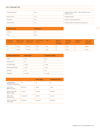### FUEL CONSUMPTION

| 4 stroke O/B demand | 0.443 | pounds/h/HP W.O.T (WOT = Wide Open Throttle). From<br>YAMAHA web site |
|---------------------|-------|-----------------------------------------------------------------------|
| Specific Gravity    | 0.713 | (Unleaded Gasoline)                                                   |
| Pounts/Gal          | 8.33  | Pounds p. Galón (referential value)                                   |
| Fuel Pounds/Gal     | 5.94  | Pounds per Gallon of fuel (given by specific gravity)                 |

| <b>TYPE OF FUEL</b> | <b>PVP/GAL \$</b> |
|---------------------|-------------------|
| Gasoline            | \$6.12            |
| Diesel              | \$6.45            |

| O/B MOTOR<br>TYPE (HP) | <b>MOTOR LOCAL</b><br>COST (MIN.) | <b>MOTOR LOCAL</b><br>COST (MAX.) | <b>WOT DEMAND</b><br>GAL/H. | WOT % | <b>MONTHLY</b><br><b>HOURS OF</b><br><b>OPERATION</b> | CONSUMP-<br>TION: GAL/<br><b>MONTH</b> | <b>NUMBER OF</b><br><b>MOTORS</b> | <b>TOTAL FUEL</b><br><b>CONSUMP-</b><br>TION P. MO. |
|------------------------|-----------------------------------|-----------------------------------|-----------------------------|-------|-------------------------------------------------------|----------------------------------------|-----------------------------------|-----------------------------------------------------|
| 40                     | \$7,500                           | \$8,000                           | 2.98                        | 50%   | 80                                                    | 119.34                                 | ∠                                 | 238.68                                              |
| 100                    | \$9,000                           | \$10,000                          | 7.46                        | 50%   | -60                                                   | 223.76                                 |                                   | 447.53                                              |

| <b>CHARACTERISTICS</b>  | <b>PARK BOAT</b> | <b>FISHERIES BOAT</b> |
|-------------------------|------------------|-----------------------|
| Length                  | 7.5 m.           | 8.5 m.                |
| Minimum Crew            | 3h.              | 3h.                   |
| <b>Economical Speed</b> | 10-12 Kt         | 10-12 Kt              |
| Maximum Speed (WOT)     | $>22$ Kt         | $>30$ Kt              |
| Endurance               | $4-5h$           | $7-8h$                |
| Propulsion              | 2 x 40 HP        | 2 x 100 HP            |

|                                        |              | <b>PARK BOAT</b> | <b>FISHERIES BOAT</b> |
|----------------------------------------|--------------|------------------|-----------------------|
| HOURS/MONTH<br>(RUNNING OPERATION)     | 140          | 80               | 60                    |
| <b>TOTAL GAL/</b><br>MONTH OF FUEL     | 686.21 Gal   | 238.68           | 447.53                |
| <b>TOTAL FUEL COST/</b><br>MONTH (USD) | \$4,199.61   | \$1,460.73       | \$2,738.87            |
| <b>TOTAL GAL/</b><br>YEAR OF FUEL      | 8,234.52 Gal | 2,864.18         | 5,370.34              |
| <b>TOTAL FUEL COST/</b><br>YEAR (USD)  | \$50,395.26  | \$17,528.79      | \$32,866.47           |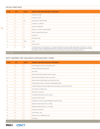### CRITICAL SPARE PARTS

| <b>ITEM</b>    | <b>QTY</b>     | <b>UNITS</b> | <b>SPARES AND MAINTENANCE EQUIPMENT</b>                                                                                                                                                                                                                                                                                                                                                                                      |  |
|----------------|----------------|--------------|------------------------------------------------------------------------------------------------------------------------------------------------------------------------------------------------------------------------------------------------------------------------------------------------------------------------------------------------------------------------------------------------------------------------------|--|
| 1.             | $\overline{2}$ | U.           | Propellers for 100HP                                                                                                                                                                                                                                                                                                                                                                                                         |  |
| 2.             | $\overline{2}$ | U.           | Propellers for 40HP                                                                                                                                                                                                                                                                                                                                                                                                          |  |
| 3              |                | Box          | Spark Plugs for 100HP and 40HP                                                                                                                                                                                                                                                                                                                                                                                               |  |
|                | 10             | U.           | Gas Fliters for 100HP O/B                                                                                                                                                                                                                                                                                                                                                                                                    |  |
| 5.             | 10             | U.           | Gas filters for 40HP O/B                                                                                                                                                                                                                                                                                                                                                                                                     |  |
| - 6.           |                | U.           | Batteries 12V 105Ah for 200HP and 85HP                                                                                                                                                                                                                                                                                                                                                                                       |  |
| 7.             |                | U.           | Remote Command Cables (Moorse)                                                                                                                                                                                                                                                                                                                                                                                               |  |
| 8.             | $\Omega$       | U.           | Panel Switch                                                                                                                                                                                                                                                                                                                                                                                                                 |  |
| $\overline{9}$ | $\overline{2}$ | U.           | Fuel rubber pumps                                                                                                                                                                                                                                                                                                                                                                                                            |  |
| 10.            | 10             | Tubes        | Grease                                                                                                                                                                                                                                                                                                                                                                                                                       |  |
| 11.            |                | U.           | Yamaha Tool Set                                                                                                                                                                                                                                                                                                                                                                                                              |  |
| 12.            |                | Set          | Critical Spare parts set (Per manufacturer) : Fuel pump Assembly, filter assembly, propeller shaft, ingnition coil, pulser coil, carburator<br>set, pistons set, ring set, crankshaft bearings, gasket kit, cross joints. Carburator repair kit, starting motor assembly, ignition coil assem-<br>bly, bearing set, starter relay assembly, gear reverse, gear fwd, pinion gear, bearing reverse gear, bearing fwd gear, etc |  |

2 8

### SAFETY EQUIPMENT (NOT FIXED ASSETS & REPLACED EVERY 3 YEARS)

| <b>ITEM</b> | <b>QTY</b>     | <b>UNITS</b> | <b>SPARES AND MAINTENANCE EQUIPMENT</b>                                              |  |
|-------------|----------------|--------------|--------------------------------------------------------------------------------------|--|
| 1.          | $\overline{2}$ | U.           | Marine Megaphone 25W with rechargeable batteries                                     |  |
| 2.          | $\mathbf{1}$   | U.           | Waterproof/Shockproof/Portable GPS                                                   |  |
| 3.          | $\overline{4}$ | U.           | First Aid Kit                                                                        |  |
| 4.          | 16             | U.           | PFD, Life saving Jacket (floatation) Yellow or Orange                                |  |
| 5.          | 5 <sup>5</sup> | U.           | Marine waterproof Binoculars 12X50 or up to 16X50                                    |  |
| 6.          | 3              | U.           | Marine waterproof portable night vision binoculars 5X Zoom                           |  |
| 7.          | 3              | U.           | LED Spot Lights. Portable, waterproof & w/Rechargeable batteries                     |  |
| 8.          | 6              | U.           | 14 MPixel Shockproof/Waterproof Digital Camera with Optical 5x Zoom and built in GPS |  |
| 9.          | 6              | U.           | Extra Batteries for Digital camera                                                   |  |
| 10.         | 6              | U.           | Digital Camera storage bag                                                           |  |
| 11.         | 6              | U.           | 32 GB SDHC Flash Memory Cards for cameras                                            |  |
| 12.         | 24             | U.           | Leatherman Multi Tool pliers                                                         |  |
| 13.         | 6              | U.           | Rechargeable, waterproof, floatable flashlights with battery backup                  |  |
| 14.         | 10             | U.           | Inflatable Vinyl Boat Fender (8" x 24", White)                                       |  |
| 15.         | $\mathbf{O}$   | U.           | Inflatable Vinyl Boat Fender (12" x 36"), White)                                     |  |
| 16.         | 6              | U.           | Coastal Locator Flares Kit                                                           |  |
| 17.         | 8              | U.           | Vernier Caliber - meter                                                              |  |
| 18.         | $\overline{a}$ | U.           | Pelican Case 1620. In flight suitcase size                                           |  |
| 19.         | $\overline{2}$ | U.           | Police lights                                                                        |  |

**WILDAID** 

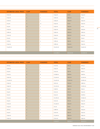| ESTIMATED LOCAL PRICE CLNP |                | <b>FISHERIES</b> | <b>TOTAL</b> | <b>CLNP</b> | <b>FISHERIES</b> |
|----------------------------|----------------|------------------|--------------|-------------|------------------|
| \$222.00                   | $\overline{0}$ | $\overline{2}$   | \$444.00     | \$0.00      | \$444.00         |
| \$130.00                   | $\overline{2}$ | $\overline{0}$   | \$260.00     | \$260.00    | \$0.00           |
| \$116.00                   | $\overline{2}$ | $\overline{2}$   | \$464.00     | \$232.00    | \$232.00         |
| \$15.00                    | $\mathbf{o}$   | 10               | \$150.00     | \$0.00      | \$150.00         |
| \$15.00                    | 10             | $\overline{O}$   | \$150.00     | \$150.00    | \$0.00           |
| \$225.00                   | $\mathbf{1}$   | $\mathbf{1}$     | \$450.00     | \$225.00    | \$225.00         |
| \$180.00                   | $\mathbf{1}$   | <sup>1</sup>     | \$360.00     | \$180.00    | \$180.00         |
| \$120.00                   | $\mathbf{1}$   | $\mathbf{1}$     | \$240.00     | \$120.00    | \$120.00         |
| \$15.00                    | $\mathbf{1}$   | <sup>1</sup>     | \$30.00      | \$15.00     | \$15.00          |
| \$18.00                    | $\overline{5}$ | 5                | \$180.00     | \$90.00     | \$90.00          |
| \$140.00                   | $\mathbf{1}$   | $\mathbf{1}$     | \$280.00     | \$140.00    | \$140.00         |
| \$4,500.00                 | $\mathbf{1}$   | $\mathbf{1}$     | \$9,000.00   | \$4,500.00  | \$4,500.00       |
|                            |                |                  |              |             |                  |
|                            |                |                  | \$12,008.0   | \$5,912.00  | \$6,096.00       |

| <b>ESTIMATED LOCAL PRICE</b> | <b>CLNP</b>     | <b>FISHERIES</b> | <b>TOTAL</b> | <b>CLNP</b> | <b>FISHERIES</b> |
|------------------------------|-----------------|------------------|--------------|-------------|------------------|
| \$60.35                      | $\mathbf{1}$    | 1                | \$120.69     | \$60.35     | \$60.35          |
| \$525.00                     | $\mathbf{O}$    | $\mathbf{1}$     | \$525.00     | \$0.00      | \$525.00         |
| \$25.00                      | $\overline{2}$  | $\overline{2}$   | \$100.00     | \$50.00     | \$50.00          |
| \$114.75                     | 8               | 8                | \$1,836.00   | \$918.00    | \$918.00         |
| \$300.00                     | $\overline{1}$  | $\overline{4}$   | \$1,500.00   | \$300.00    | \$1,200.00       |
| \$1,400.00                   | $\overline{1}$  | 2                | \$4,200.00   | \$1,400.00  | \$2,800.00       |
| \$190.00                     | $\mathbf{1}$    | 2                | \$570.00     | \$190.00    | \$380.00         |
| \$450.00                     | $\overline{2}$  | $\overline{4}$   | \$2,700.00   | \$900.00    | \$1,800.00       |
| \$23.00                      | $\overline{2}$  | $\overline{4}$   | \$138.00     | \$46.00     | \$92.00          |
| \$35.00                      | $\overline{2}$  | $\overline{4}$   | \$210.00     | \$70.00     | \$140.00         |
| \$52.00                      | $\overline{2}$  | 4                | \$312.00     | \$104.00    | \$208.00         |
| \$115.00                     | 8               | 16               | \$2,760.00   | \$920.00    | \$1,840.00       |
| \$35.00                      | $\overline{2}$  | $\overline{4}$   | \$210.00     | \$70.00     | \$140.00         |
| \$105.00                     | $5\overline{5}$ | $5\overline{)}$  | \$1,050.00   | \$525.00    | \$525.00         |
| \$135.00                     | $\overline{0}$  | $\overline{0}$   | \$0.00       | \$0.00      | \$0.00           |
| \$81.00                      | -3              | 3 <sup>1</sup>   | \$486.00     | \$243.00    | \$243.00         |
| \$25.00                      | $\overline{2}$  | 6                | \$200.00     | \$50.00     | \$150.00         |
| \$325.00                     | $\overline{2}$  | $\overline{2}$   | \$1,300.00   | \$650.00    | \$650.00         |
| \$350.00                     | $\mathbf{1}$    | 1                | \$700.00     | \$350.00    | \$350.00         |
|                              |                 |                  | \$18,917.7   | \$6,846.3   | \$12,071.3       |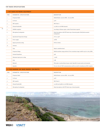### VHF RADIO SPECIFICATIONS

3 0

|                | <b>I. VHF RADIO NETWORK EQUIPMENT</b>          |                                                                                           |
|----------------|------------------------------------------------|-------------------------------------------------------------------------------------------|
| <b>ITEM</b>    | PARAMETER / SPECIFICATIONS                     | <b>DESCRIPTION</b>                                                                        |
| <sup>1</sup>   | Frequency Band                                 | Mobile Marine: 156.000 MHz - 162.025 MHz                                                  |
| $\overline{2}$ | Tx Power                                       | 25 W                                                                                      |
| 3              | DSC capacity                                   | DSC Class A                                                                               |
| $\overline{4}$ | Channel bandwidth                              | 12.5 kHz over all MM channels                                                             |
| 5              | GMDSS compliant                                | According to Palauan region. Audio/Visual alarm required                                  |
| 6              | Microphone/Loudspeaker                         | Hand microphone with PPT button type. External speaker (Wall/desk mounted<br>loudspeaker) |
| $\overline{7}$ | Operational Temperature Range                  | $0^{\circ}$ C to +55 $^{\circ}$ C                                                         |
| 8              | Power supply                                   | 12VDC                                                                                     |
| 9              | Ingress protection rating                      | IP-X6 or better                                                                           |
| 10             | Antenna:                                       |                                                                                           |
|                | Type                                           | Dipole, omnidirectional.                                                                  |
|                | Frequency Range                                | Mobile maritime range preferred. If not, maximum range would be 146.0 to 162.5 MHz        |
|                | Nominal Impedance                              | $50\Omega$                                                                                |
|                | Maximum input power rating                     | $>100W$                                                                                   |
|                | Gain                                           | 6 dB                                                                                      |
|                | Material                                       | Fiber glass or polyurethane lacque coated. Specific for open marine environments          |
|                | Quantity                                       | Two (2). One for VHF communications and the second for simultaneous DSC reception         |
| $\overline{2}$ | <b>EIVED MADINE VHE RASE RADIOS (ON ROATS)</b> |                                                                                           |

| 2. FIXED MARINE VHF BASE RADIOS (ON BOATS) |                            |                                                        |  |  |  |
|--------------------------------------------|----------------------------|--------------------------------------------------------|--|--|--|
| <b>ITEM</b>                                | PARAMETER / SPECIFICATIONS | <b>DESCRIPTION</b>                                     |  |  |  |
|                                            | Frequency Band             | Mobile Marine: 156.000 MHz - 162.025 MHz               |  |  |  |
| $\mathbf{2}$                               | Tx Power                   | 25 W                                                   |  |  |  |
| 3                                          | DSC capacity               | DSC Class D                                            |  |  |  |
|                                            | Channel bandwidth          | 12.5 kHz and 25kHz over all MM channels                |  |  |  |
|                                            | Microphone/Loudspeaker     | Hand microphone with PPT button type. Internal speaker |  |  |  |



**VIAITT** 

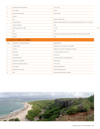| 6                                    | Operational Temperature Range | $0^{\circ}$ C to +55 $^{\circ}$ C                                                  |
|--------------------------------------|-------------------------------|------------------------------------------------------------------------------------|
| 7                                    | Power supply                  | 12VDC                                                                              |
| 8                                    | Ingress protection rating     | IP-X6 or better                                                                    |
| 9                                    | Antenna:                      | $\overline{\phantom{a}}$                                                           |
|                                      | Type                          | Dipole, omnidirectional.                                                           |
|                                      | Frequency Range               | Mobile maritime range preferred. If not, maximum range would be 146.0 to 162.5 MHz |
|                                      | Nominal Impedance             | $50\Omega$                                                                         |
|                                      | Maximum input power rating    | $>100W$                                                                            |
|                                      | Gain                          | 3 dB                                                                               |
|                                      | Material                      | Fiber glass or polyurethane lacque coated. Specific for open marine environments   |
|                                      | Quantity                      | One                                                                                |
| <b>3. HANDHELD MARINE VHF RADIOS</b> |                               |                                                                                    |
|                                      |                               |                                                                                    |
| <b>ITEM</b>                          | PARAMETER / SPECIFICATIONS    | <b>DESCRIPTION</b>                                                                 |
| $\mathbf{1}$                         | Frequency Band                | Mobile Marine: 156.025 MHz - 162.025 MHz                                           |
| $\overline{2}$                       | Tx Power                      | High and Low positions with maximum 5W output                                      |
| 3                                    | <b>Battery</b> life           | $\geq 8$ hours operation at low power                                              |
| $\overline{4}$                       | DSC capacity                  | DSC Class D                                                                        |
| 5                                    | Channel bandwidth             | 12.5 kHz and 25kHz over all MM channels                                            |
| 6                                    | Microphone/Loudspeaker        | Both internal                                                                      |
| 7                                    | Operational Temperature Range | $0^{\circ}$ C to +55 $^{\circ}$ C                                                  |
| 8                                    | Power supply                  | Internal long life Battery                                                         |
| 9                                    | Ingress protection rating     | IP-X7 with floating capacity                                                       |